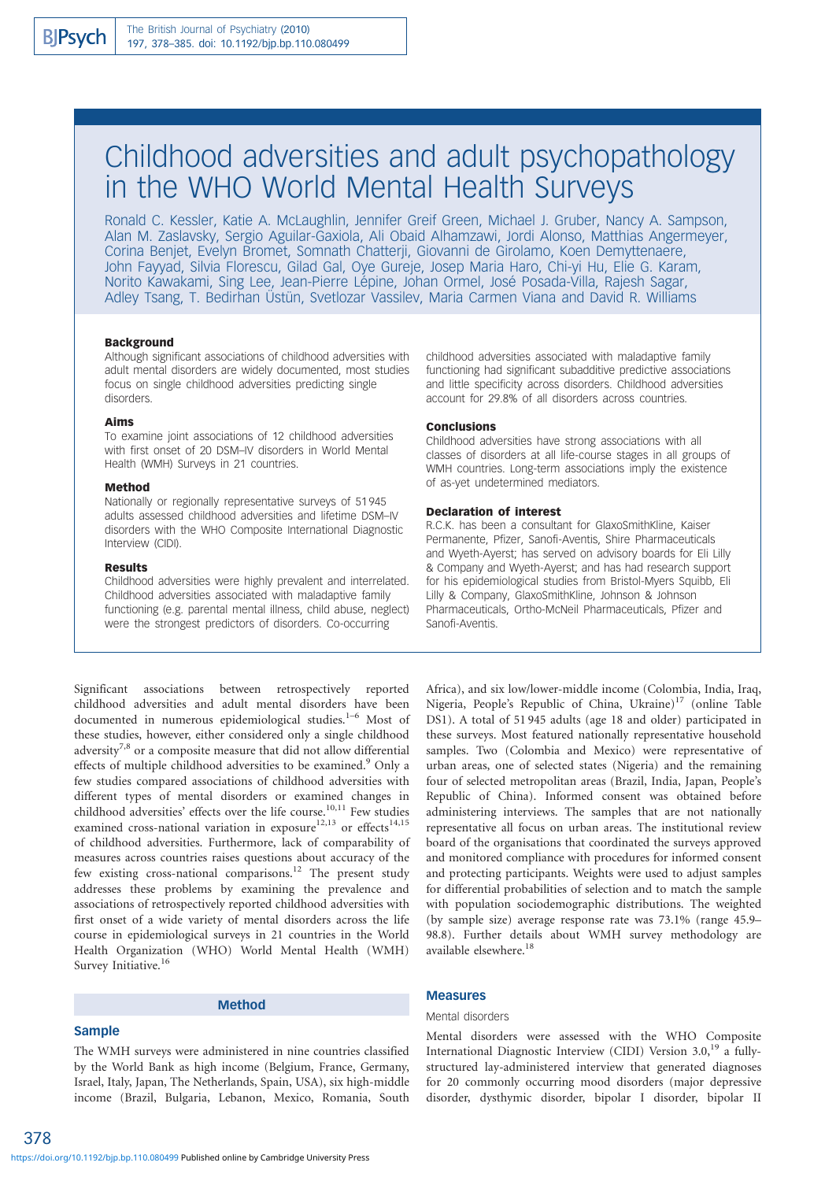# Childhood adversities and adult psychopathology in the WHO World Mental Health Surveys

Ronald C. Kessler, Katie A. McLaughlin, Jennifer Greif Green, Michael J. Gruber, Nancy A. Sampson, Alan M. Zaslavsky, Sergio Aguilar-Gaxiola, Ali Obaid Alhamzawi, Jordi Alonso, Matthias Angermeyer, Corina Benjet, Evelyn Bromet, Somnath Chatterji, Giovanni de Girolamo, Koen Demyttenaere, John Fayyad, Silvia Florescu, Gilad Gal, Oye Gureje, Josep Maria Haro, Chi-yi Hu, Elie G. Karam, Norito Kawakami, Sing Lee, Jean-Pierre Lépine, Johan Ormel, José Posada-Villa, Rajesh Sagar, Adley Tsang, T. Bedirhan Üstün, Svetlozar Vassilev, Maria Carmen Viana and David R. Williams

## **Background**

Although significant associations of childhood adversities with adult mental disorders are widely documented, most studies focus on single childhood adversities predicting single disorders.

## Aims

To examine joint associations of 12 childhood adversities with first onset of 20 DSM–IV disorders in World Mental Health (WMH) Surveys in 21 countries.

## Method

Nationally or regionally representative surveys of 51 945 adults assessed childhood adversities and lifetime DSM–IV disorders with the WHO Composite International Diagnostic Interview (CIDI).

#### Results

Childhood adversities were highly prevalent and interrelated. Childhood adversities associated with maladaptive family functioning (e.g. parental mental illness, child abuse, neglect) were the strongest predictors of disorders. Co-occurring

childhood adversities associated with maladaptive family functioning had significant subadditive predictive associations and little specificity across disorders. Childhood adversities account for 29.8% of all disorders across countries.

## Conclusions

Childhood adversities have strong associations with all classes of disorders at all life-course stages in all groups of WMH countries. Long-term associations imply the existence of as-yet undetermined mediators.

#### Declaration of interest

R.C.K. has been a consultant for GlaxoSmithKline, Kaiser Permanente, Pfizer, Sanofi-Aventis, Shire Pharmaceuticals and Wyeth-Ayerst; has served on advisory boards for Eli Lilly & Company and Wyeth-Ayerst; and has had research support for his epidemiological studies from Bristol-Myers Squibb, Eli Lilly & Company, GlaxoSmithKline, Johnson & Johnson Pharmaceuticals, Ortho-McNeil Pharmaceuticals, Pfizer and Sanofi-Aventis.

Significant associations between retrospectively reported childhood adversities and adult mental disorders have been documented in numerous epidemiological studies.<sup>1-6</sup> Most of these studies, however, either considered only a single childhood adversity<sup>7,8</sup> or a composite measure that did not allow differential effects of multiple childhood adversities to be examined.<sup>9</sup> Only a few studies compared associations of childhood adversities with different types of mental disorders or examined changes in childhood adversities' effects over the life course.<sup>10,11</sup> Few studies examined cross-national variation in exposure $12,13$  or effects $14,15$ of childhood adversities. Furthermore, lack of comparability of measures across countries raises questions about accuracy of the few existing cross-national comparisons.<sup>12</sup> The present study addresses these problems by examining the prevalence and associations of retrospectively reported childhood adversities with first onset of a wide variety of mental disorders across the life course in epidemiological surveys in 21 countries in the World Health Organization (WHO) World Mental Health (WMH) Survey Initiative.<sup>16</sup>

# Method

# Sample

The WMH surveys were administered in nine countries classified by the World Bank as high income (Belgium, France, Germany, Israel, Italy, Japan, The Netherlands, Spain, USA), six high-middle income (Brazil, Bulgaria, Lebanon, Mexico, Romania, South

378 <https://doi.org/10.1192/bjp.bp.110.080499> Published online by Cambridge University Press Africa), and six low/lower-middle income (Colombia, India, Iraq, Nigeria, People's Republic of China, Ukraine)<sup>17</sup> (online Table DS1). A total of 51 945 adults (age 18 and older) participated in these surveys. Most featured nationally representative household samples. Two (Colombia and Mexico) were representative of urban areas, one of selected states (Nigeria) and the remaining four of selected metropolitan areas (Brazil, India, Japan, People's Republic of China). Informed consent was obtained before administering interviews. The samples that are not nationally representative all focus on urban areas. The institutional review board of the organisations that coordinated the surveys approved and monitored compliance with procedures for informed consent and protecting participants. Weights were used to adjust samples for differential probabilities of selection and to match the sample with population sociodemographic distributions. The weighted (by sample size) average response rate was 73.1% (range 45.9– 98.8). Further details about WMH survey methodology are available elsewhere.18

# Measures

#### Mental disorders

Mental disorders were assessed with the WHO Composite International Diagnostic Interview (CIDI) Version 3.0,<sup>19</sup> a fullystructured lay-administered interview that generated diagnoses for 20 commonly occurring mood disorders (major depressive disorder, dysthymic disorder, bipolar I disorder, bipolar II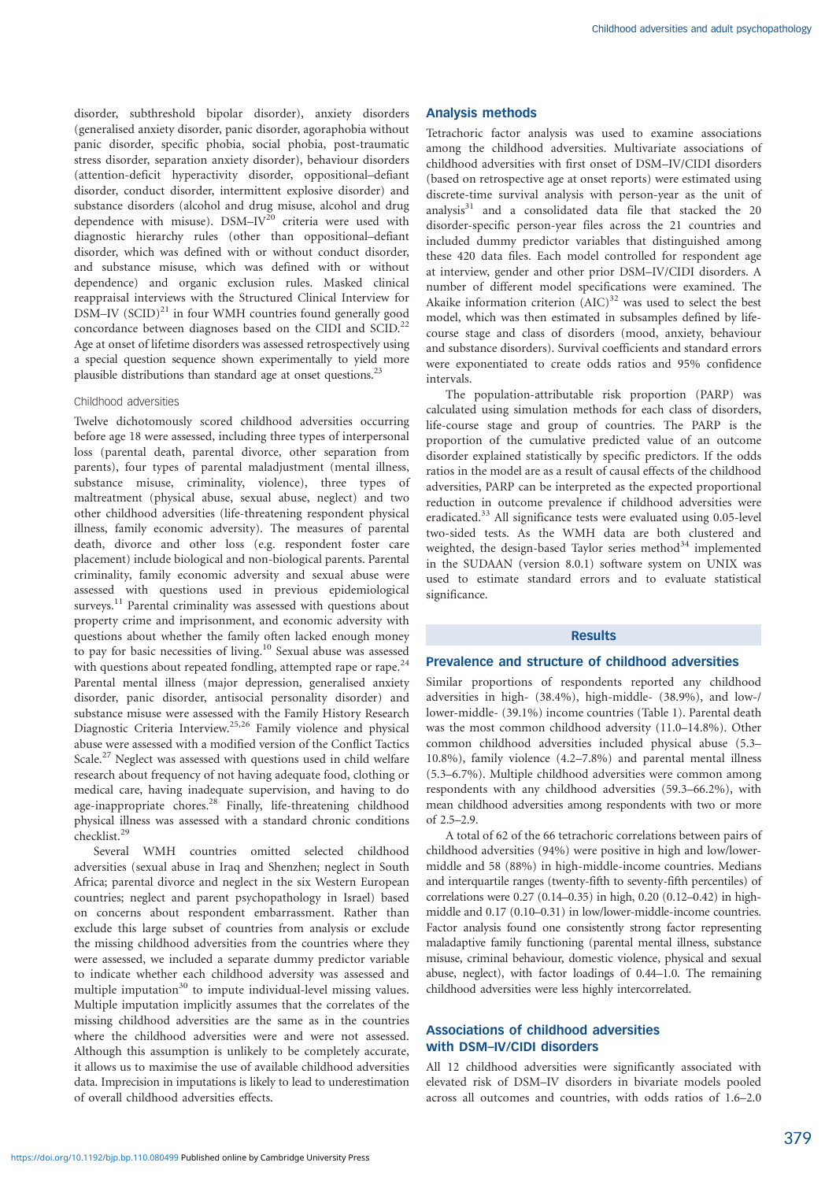disorder, subthreshold bipolar disorder), anxiety disorders (generalised anxiety disorder, panic disorder, agoraphobia without panic disorder, specific phobia, social phobia, post-traumatic stress disorder, separation anxiety disorder), behaviour disorders (attention-deficit hyperactivity disorder, oppositional–defiant disorder, conduct disorder, intermittent explosive disorder) and substance disorders (alcohol and drug misuse, alcohol and drug dependence with misuse). DSM-IV<sup>20</sup> criteria were used with diagnostic hierarchy rules (other than oppositional–defiant disorder, which was defined with or without conduct disorder, and substance misuse, which was defined with or without dependence) and organic exclusion rules. Masked clinical reappraisal interviews with the Structured Clinical Interview for  $DSM$ –IV  $(SCID)^{21}$  in four WMH countries found generally good concordance between diagnoses based on the CIDI and SCID.<sup>22</sup> Age at onset of lifetime disorders was assessed retrospectively using a special question sequence shown experimentally to yield more plausible distributions than standard age at onset questions.<sup>23</sup>

## Childhood adversities

Twelve dichotomously scored childhood adversities occurring before age 18 were assessed, including three types of interpersonal loss (parental death, parental divorce, other separation from parents), four types of parental maladjustment (mental illness, substance misuse, criminality, violence), three types of maltreatment (physical abuse, sexual abuse, neglect) and two other childhood adversities (life-threatening respondent physical illness, family economic adversity). The measures of parental death, divorce and other loss (e.g. respondent foster care placement) include biological and non-biological parents. Parental criminality, family economic adversity and sexual abuse were assessed with questions used in previous epidemiological surveys.<sup>11</sup> Parental criminality was assessed with questions about property crime and imprisonment, and economic adversity with questions about whether the family often lacked enough money to pay for basic necessities of living.<sup>10</sup> Sexual abuse was assessed with questions about repeated fondling, attempted rape or rape.<sup>24</sup> Parental mental illness (major depression, generalised anxiety disorder, panic disorder, antisocial personality disorder) and substance misuse were assessed with the Family History Research Diagnostic Criteria Interview.25,26 Family violence and physical abuse were assessed with a modified version of the Conflict Tactics Scale.<sup>27</sup> Neglect was assessed with questions used in child welfare research about frequency of not having adequate food, clothing or medical care, having inadequate supervision, and having to do age-inappropriate chores.<sup>28</sup> Finally, life-threatening childhood physical illness was assessed with a standard chronic conditions checklist.<sup>29</sup>

Several WMH countries omitted selected childhood adversities (sexual abuse in Iraq and Shenzhen; neglect in South Africa; parental divorce and neglect in the six Western European countries; neglect and parent psychopathology in Israel) based on concerns about respondent embarrassment. Rather than exclude this large subset of countries from analysis or exclude the missing childhood adversities from the countries where they were assessed, we included a separate dummy predictor variable to indicate whether each childhood adversity was assessed and multiple imputation<sup>30</sup> to impute individual-level missing values. Multiple imputation implicitly assumes that the correlates of the missing childhood adversities are the same as in the countries where the childhood adversities were and were not assessed. Although this assumption is unlikely to be completely accurate, it allows us to maximise the use of available childhood adversities data. Imprecision in imputations is likely to lead to underestimation of overall childhood adversities effects.

# Analysis methods

Tetrachoric factor analysis was used to examine associations among the childhood adversities. Multivariate associations of childhood adversities with first onset of DSM–IV/CIDI disorders (based on retrospective age at onset reports) were estimated using discrete-time survival analysis with person-year as the unit of analysis $31$  and a consolidated data file that stacked the 20 disorder-specific person-year files across the 21 countries and included dummy predictor variables that distinguished among these 420 data files. Each model controlled for respondent age at interview, gender and other prior DSM–IV/CIDI disorders. A number of different model specifications were examined. The Akaike information criterion  $(AIC)^{32}$  was used to select the best model, which was then estimated in subsamples defined by lifecourse stage and class of disorders (mood, anxiety, behaviour and substance disorders). Survival coefficients and standard errors were exponentiated to create odds ratios and 95% confidence intervals.

The population-attributable risk proportion (PARP) was calculated using simulation methods for each class of disorders, life-course stage and group of countries. The PARP is the proportion of the cumulative predicted value of an outcome disorder explained statistically by specific predictors. If the odds ratios in the model are as a result of causal effects of the childhood adversities, PARP can be interpreted as the expected proportional reduction in outcome prevalence if childhood adversities were eradicated.<sup>33</sup> All significance tests were evaluated using 0.05-level two-sided tests. As the WMH data are both clustered and weighted, the design-based Taylor series method $34$  implemented in the SUDAAN (version 8.0.1) software system on UNIX was used to estimate standard errors and to evaluate statistical significance.

# Results

# Prevalence and structure of childhood adversities

Similar proportions of respondents reported any childhood adversities in high- (38.4%), high-middle- (38.9%), and low-/ lower-middle- (39.1%) income countries (Table 1). Parental death was the most common childhood adversity (11.0–14.8%). Other common childhood adversities included physical abuse (5.3– 10.8%), family violence (4.2–7.8%) and parental mental illness (5.3–6.7%). Multiple childhood adversities were common among respondents with any childhood adversities (59.3–66.2%), with mean childhood adversities among respondents with two or more of 2.5–2.9.

A total of 62 of the 66 tetrachoric correlations between pairs of childhood adversities (94%) were positive in high and low/lowermiddle and 58 (88%) in high-middle-income countries. Medians and interquartile ranges (twenty-fifth to seventy-fifth percentiles) of correlations were 0.27 (0.14–0.35) in high, 0.20 (0.12–0.42) in highmiddle and 0.17 (0.10–0.31) in low/lower-middle-income countries. Factor analysis found one consistently strong factor representing maladaptive family functioning (parental mental illness, substance misuse, criminal behaviour, domestic violence, physical and sexual abuse, neglect), with factor loadings of 0.44–1.0. The remaining childhood adversities were less highly intercorrelated.

# Associations of childhood adversities with DSM–IV/CIDI disorders

All 12 childhood adversities were significantly associated with elevated risk of DSM–IV disorders in bivariate models pooled across all outcomes and countries, with odds ratios of 1.6–2.0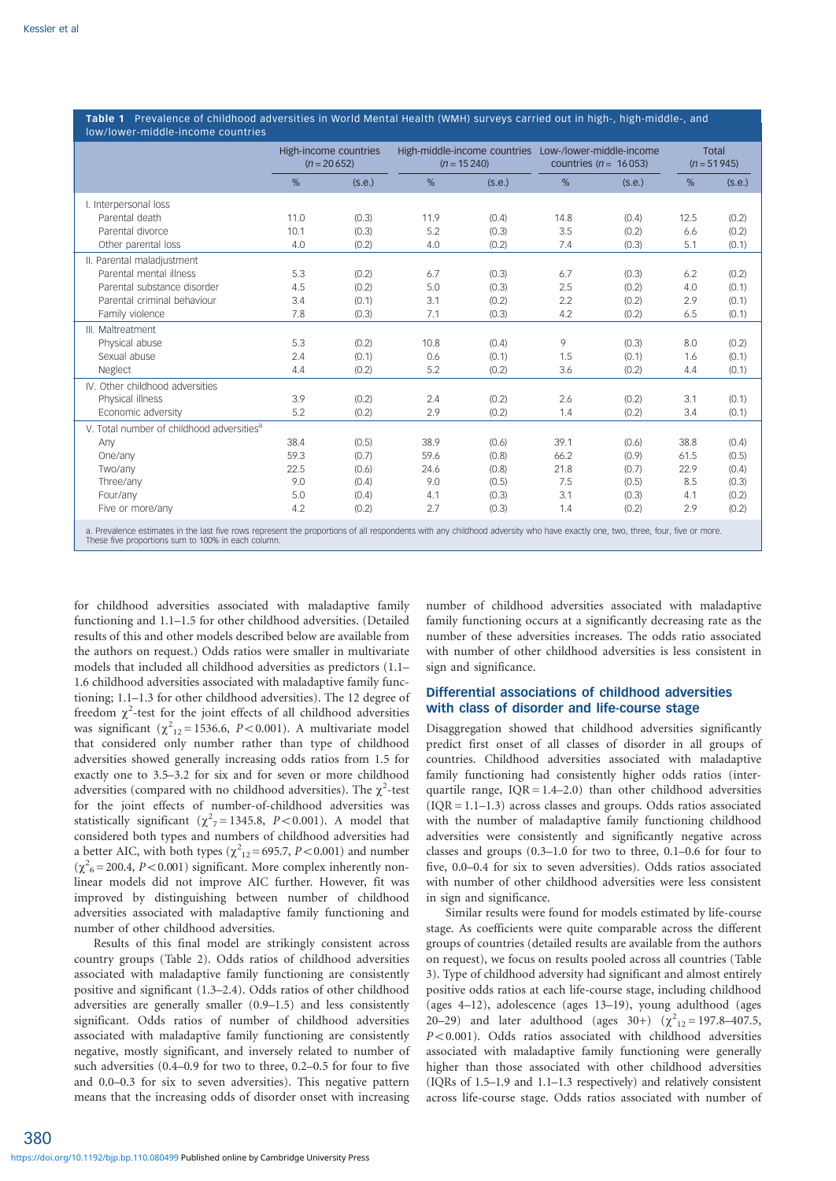|                                                       | High-income countries<br>$(n = 20652)$ |        |      | High-middle-income countries Low-/lower-middle-income<br>$(n = 15240)$ |      | countries ( $n = 16053$ ) | <b>Total</b><br>$(n = 51945)$ |        |
|-------------------------------------------------------|----------------------------------------|--------|------|------------------------------------------------------------------------|------|---------------------------|-------------------------------|--------|
|                                                       | %                                      | (s.e.) | %    | (s.e.)                                                                 | %    | (s.e.)                    | %                             | (s.e.) |
| I. Interpersonal loss                                 |                                        |        |      |                                                                        |      |                           |                               |        |
| Parental death                                        | 11.0                                   | (0.3)  | 11.9 | (0.4)                                                                  | 14.8 | (0.4)                     | 12.5                          | (0.2)  |
| Parental divorce                                      | 10.1                                   | (0.3)  | 5.2  | (0.3)                                                                  | 3.5  | (0.2)                     | 6.6                           | (0.2)  |
| Other parental loss                                   | 4.0                                    | (0.2)  | 4.0  | (0.2)                                                                  | 7.4  | (0.3)                     | 5.1                           | (0.1)  |
| II. Parental maladjustment                            |                                        |        |      |                                                                        |      |                           |                               |        |
| Parental mental illness                               | 5.3                                    | (0.2)  | 6.7  | (0.3)                                                                  | 6.7  | (0.3)                     | 6.2                           | (0.2)  |
| Parental substance disorder                           | 4.5                                    | (0.2)  | 5.0  | (0.3)                                                                  | 2.5  | (0.2)                     | 4.0                           | (0.1)  |
| Parental criminal behaviour                           | 3.4                                    | (0.1)  | 3.1  | (0.2)                                                                  | 2.2  | (0.2)                     | 2.9                           | (0.1)  |
| Family violence                                       | 7.8                                    | (0.3)  | 7.1  | (0.3)                                                                  | 4.2  | (0.2)                     | 6.5                           | (0.1)  |
| III. Maltreatment                                     |                                        |        |      |                                                                        |      |                           |                               |        |
| Physical abuse                                        | 5.3                                    | (0.2)  | 10.8 | (0.4)                                                                  | 9    | (0.3)                     | 8.0                           | (0.2)  |
| Sexual abuse                                          | 2.4                                    | (0.1)  | 0.6  | (0.1)                                                                  | 1.5  | (0.1)                     | 1.6                           | (0.1)  |
| Neglect                                               | 4.4                                    | (0.2)  | 5.2  | (0.2)                                                                  | 3.6  | (0.2)                     | 4.4                           | (0.1)  |
| IV. Other childhood adversities                       |                                        |        |      |                                                                        |      |                           |                               |        |
| Physical illness                                      | 3.9                                    | (0.2)  | 2.4  | (0.2)                                                                  | 2.6  | (0.2)                     | 3.1                           | (0.1)  |
| Economic adversity                                    | 5.2                                    | (0.2)  | 2.9  | (0.2)                                                                  | 1.4  | (0.2)                     | 3.4                           | (0.1)  |
| V. Total number of childhood adversities <sup>a</sup> |                                        |        |      |                                                                        |      |                           |                               |        |
| Any                                                   | 38.4                                   | (0.5)  | 38.9 | (0.6)                                                                  | 39.1 | (0.6)                     | 38.8                          | (0.4)  |
| One/any                                               | 59.3                                   | (0.7)  | 59.6 | (0.8)                                                                  | 66.2 | (0.9)                     | 61.5                          | (0.5)  |
| Two/any                                               | 22.5                                   | (0.6)  | 24.6 | (0.8)                                                                  | 21.8 | (0.7)                     | 22.9                          | (0.4)  |
| Three/any                                             | 9.0                                    | (0.4)  | 9.0  | (0.5)                                                                  | 7.5  | (0.5)                     | 8.5                           | (0.3)  |
| Four/any                                              | 5.0                                    | (0.4)  | 4.1  | (0.3)                                                                  | 3.1  | (0.3)                     | 4.1                           | (0.2)  |
| Five or more/any                                      | 4.2                                    | (0.2)  | 2.7  | (0.3)                                                                  | 1.4  | (0.2)                     | 2.9                           | (0.2)  |
|                                                       |                                        |        |      |                                                                        |      |                           |                               |        |

Table 1 Prevalence of childhood adversities in World Mental Health (WMH) surveys carried out in high-, high-middle-, and low/lower-middle-income countries

a. Prevalence estimates in the last five rows represent the proportions of all respondents with any childhood adversity who have exactly one, two, three, four, five or more. These five proportions sum to 100% in each column.

for childhood adversities associated with maladaptive family functioning and 1.1–1.5 for other childhood adversities. (Detailed results of this and other models described below are available from the authors on request.) Odds ratios were smaller in multivariate models that included all childhood adversities as predictors (1.1– 1.6 childhood adversities associated with maladaptive family functioning; 1.1–1.3 for other childhood adversities). The 12 degree of freedom  $\chi^2$ -test for the joint effects of all childhood adversities was significant ( $\chi^2_{12}$  = 1536.6, *P* < 0.001). A multivariate model that considered only number rather than type of childhood adversities showed generally increasing odds ratios from 1.5 for exactly one to 3.5–3.2 for six and for seven or more childhood adversities (compared with no childhood adversities). The  $\chi^2$ -test for the joint effects of number-of-childhood adversities was statistically significant ( $\chi^2$ <sub>7</sub> = 1345.8, *P*<0.001). A model that considered both types and numbers of childhood adversities had a better AIC, with both types ( $\chi^2_{12}$  = 695.7, P < 0.001) and number  $(\chi^2_{6} = 200.4, P < 0.001)$  significant. More complex inherently nonlinear models did not improve AIC further. However, fit was improved by distinguishing between number of childhood adversities associated with maladaptive family functioning and number of other childhood adversities.

Results of this final model are strikingly consistent across country groups (Table 2). Odds ratios of childhood adversities associated with maladaptive family functioning are consistently positive and significant (1.3–2.4). Odds ratios of other childhood adversities are generally smaller (0.9–1.5) and less consistently significant. Odds ratios of number of childhood adversities associated with maladaptive family functioning are consistently negative, mostly significant, and inversely related to number of such adversities (0.4–0.9 for two to three, 0.2–0.5 for four to five and 0.0–0.3 for six to seven adversities). This negative pattern means that the increasing odds of disorder onset with increasing

number of childhood adversities associated with maladaptive family functioning occurs at a significantly decreasing rate as the number of these adversities increases. The odds ratio associated with number of other childhood adversities is less consistent in sign and significance.

# Differential associations of childhood adversities with class of disorder and life-course stage

Disaggregation showed that childhood adversities significantly predict first onset of all classes of disorder in all groups of countries. Childhood adversities associated with maladaptive family functioning had consistently higher odds ratios (interquartile range,  $IQR = 1.4-2.0$ ) than other childhood adversities (IQR = 1.1–1.3) across classes and groups. Odds ratios associated with the number of maladaptive family functioning childhood adversities were consistently and significantly negative across classes and groups (0.3–1.0 for two to three, 0.1–0.6 for four to five, 0.0–0.4 for six to seven adversities). Odds ratios associated with number of other childhood adversities were less consistent in sign and significance.

Similar results were found for models estimated by life-course stage. As coefficients were quite comparable across the different groups of countries (detailed results are available from the authors on request), we focus on results pooled across all countries (Table 3). Type of childhood adversity had significant and almost entirely positive odds ratios at each life-course stage, including childhood (ages 4–12), adolescence (ages 13–19), young adulthood (ages 20–29) and later adulthood (ages 30+)  $(\chi^2_{12} = 197.8 - 407.5,$  $P<0.001$ ). Odds ratios associated with childhood adversities associated with maladaptive family functioning were generally higher than those associated with other childhood adversities (IQRs of 1.5–1.9 and 1.1–1.3 respectively) and relatively consistent across life-course stage. Odds ratios associated with number of

380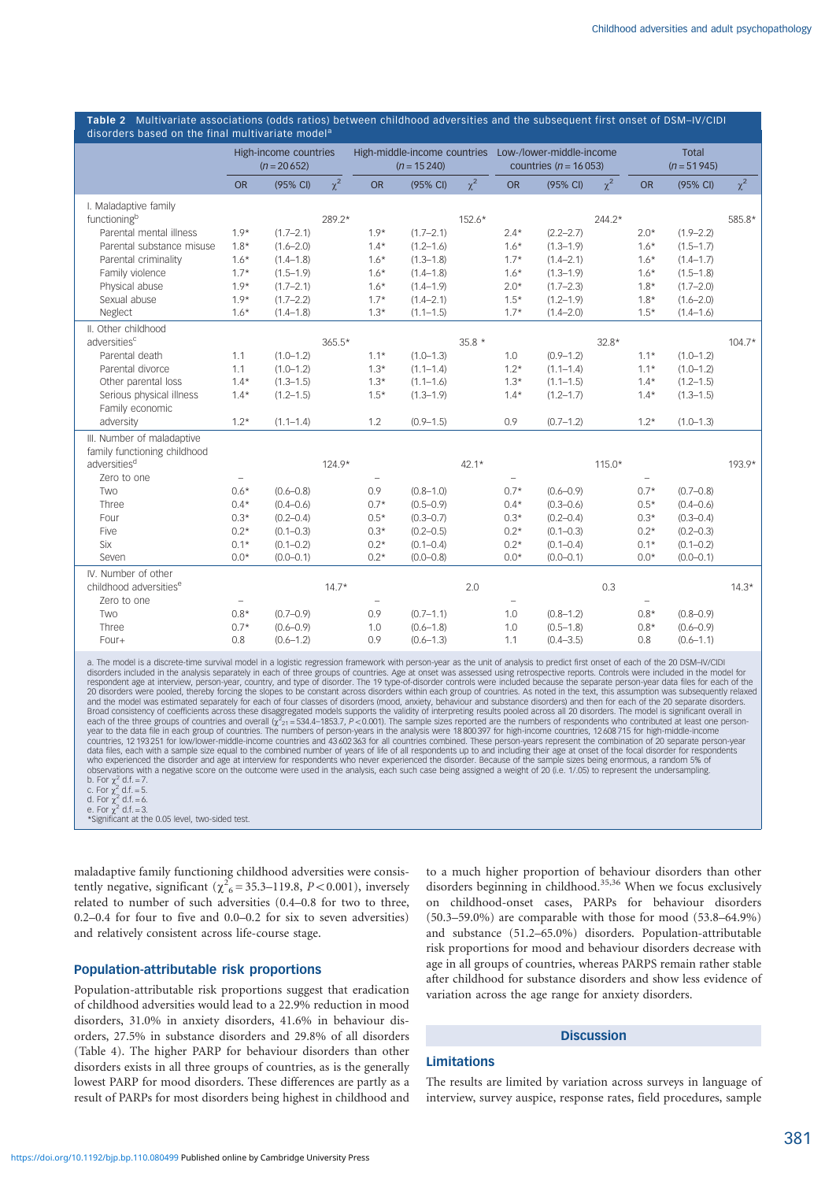| Table 2 Multivariate associations (odds ratios) between childhood adversities and the subsequent first onset of DSM-IV/CIDI |  |  |
|-----------------------------------------------------------------------------------------------------------------------------|--|--|
| disorders based on the final multivariate model <sup>a</sup>                                                                |  |  |

|                                    | High-income countries<br>$(n = 20652)$ |               | High-middle-income countries<br>$(n = 15240)$ |           |               | Low-/lower-middle-income<br>countries ( $n = 16053$ ) |           |               | <b>Total</b><br>$(n = 51945)$ |           |               |          |
|------------------------------------|----------------------------------------|---------------|-----------------------------------------------|-----------|---------------|-------------------------------------------------------|-----------|---------------|-------------------------------|-----------|---------------|----------|
|                                    | <b>OR</b>                              | (95% CI)      | $\chi^2$                                      | <b>OR</b> | (95% CI)      | $\chi^2$                                              | <b>OR</b> | (95% CI)      | $\chi^2$                      | <b>OR</b> | (95% CI)      | $\chi^2$ |
| I. Maladaptive family              |                                        |               |                                               |           |               |                                                       |           |               |                               |           |               |          |
| functioningb                       |                                        |               | 289.2*                                        |           |               | 152.6*                                                |           |               | 244.2*                        |           |               | 585.8*   |
| Parental mental illness            | $1.9*$                                 | $(1.7 - 2.1)$ |                                               | $1.9*$    | $(1.7 - 2.1)$ |                                                       | $2.4*$    | $(2.2 - 2.7)$ |                               | $2.0*$    | $(1.9 - 2.2)$ |          |
| Parental substance misuse          | $1.8*$                                 | $(1.6 - 2.0)$ |                                               | $1.4*$    | $(1.2 - 1.6)$ |                                                       | $1.6*$    | $(1.3 - 1.9)$ |                               | $1.6*$    | $(1.5 - 1.7)$ |          |
| Parental criminality               | $1.6*$                                 | $(1.4 - 1.8)$ |                                               | $1.6*$    | $(1.3 - 1.8)$ |                                                       | $1.7*$    | $(1.4 - 2.1)$ |                               | $1.6*$    | $(1.4 - 1.7)$ |          |
| Family violence                    | $1.7*$                                 | $(1.5 - 1.9)$ |                                               | $1.6*$    | $(1.4 - 1.8)$ |                                                       | $1.6*$    | $(1.3 - 1.9)$ |                               | $1.6*$    | $(1.5 - 1.8)$ |          |
| Physical abuse                     | $1.9*$                                 | $(1.7 - 2.1)$ |                                               | $1.6*$    | $(1.4 - 1.9)$ |                                                       | $2.0*$    | $(1.7 - 2.3)$ |                               | $1.8*$    | $(1.7 - 2.0)$ |          |
| Sexual abuse                       | $1.9*$                                 | $(1.7 - 2.2)$ |                                               | $1.7*$    | $(1.4 - 2.1)$ |                                                       | $1.5*$    | $(1.2 - 1.9)$ |                               | $1.8*$    | $(1.6 - 2.0)$ |          |
| Neglect                            | $1.6*$                                 | $(1.4 - 1.8)$ |                                               | $1.3*$    | $(1.1 - 1.5)$ |                                                       | $1.7*$    | $(1.4 - 2.0)$ |                               | $1.5*$    | $(1.4 - 1.6)$ |          |
| II. Other childhood                |                                        |               |                                               |           |               |                                                       |           |               |                               |           |               |          |
| adversities <sup>c</sup>           |                                        |               | $365.5*$                                      |           |               | $35.8*$                                               |           |               | $32.8*$                       |           |               | $104.7*$ |
| Parental death                     | 1.1                                    | $(1.0 - 1.2)$ |                                               | $1.1*$    | $(1.0 - 1.3)$ |                                                       | 1.0       | $(0.9 - 1.2)$ |                               | $1.1*$    | $(1.0 - 1.2)$ |          |
| Parental divorce                   | 1.1                                    | $(1.0 - 1.2)$ |                                               | $1.3*$    | $(1.1 - 1.4)$ |                                                       | $1.2*$    | $(1.1 - 1.4)$ |                               | $1.1*$    | $(1.0 - 1.2)$ |          |
| Other parental loss                | $1.4*$                                 | $(1.3 - 1.5)$ |                                               | $1.3*$    | $(1.1 - 1.6)$ |                                                       | $1.3*$    | $(1.1 - 1.5)$ |                               | $1.4*$    | $(1.2 - 1.5)$ |          |
| Serious physical illness           | $1.4*$                                 | $(1.2 - 1.5)$ |                                               | $1.5*$    | $(1.3 - 1.9)$ |                                                       | $1.4*$    | $(1.2 - 1.7)$ |                               | $1.4*$    | $(1.3 - 1.5)$ |          |
| Family economic                    |                                        |               |                                               |           |               |                                                       |           |               |                               |           |               |          |
| adversity                          | $1.2*$                                 | $(1.1 - 1.4)$ |                                               | 1.2       | $(0.9 - 1.5)$ |                                                       | 0.9       | $(0.7 - 1.2)$ |                               | $1.2*$    | $(1.0 - 1.3)$ |          |
| III. Number of maladaptive         |                                        |               |                                               |           |               |                                                       |           |               |                               |           |               |          |
| family functioning childhood       |                                        |               |                                               |           |               |                                                       |           |               |                               |           |               |          |
| adversities <sup>d</sup>           |                                        |               | $124.9*$                                      |           |               | $42.1*$                                               |           |               | $115.0*$                      |           |               | 193.9*   |
| Zero to one                        | $\overline{\phantom{m}}$               |               |                                               |           |               |                                                       |           |               |                               |           |               |          |
| Two                                | $0.6*$                                 | $(0.6 - 0.8)$ |                                               | 0.9       | $(0.8 - 1.0)$ |                                                       | $0.7*$    | $(0.6 - 0.9)$ |                               | $0.7*$    | $(0.7 - 0.8)$ |          |
| Three                              | $0.4*$                                 | $(0.4 - 0.6)$ |                                               | $0.7*$    | $(0.5 - 0.9)$ |                                                       | $0.4*$    | $(0.3 - 0.6)$ |                               | $0.5*$    | $(0.4 - 0.6)$ |          |
| Four                               | $0.3*$                                 | $(0.2 - 0.4)$ |                                               | $0.5*$    | $(0.3 - 0.7)$ |                                                       | $0.3*$    | $(0.2 - 0.4)$ |                               | $0.3*$    | $(0.3 - 0.4)$ |          |
| Five                               | $0.2*$                                 | $(0.1 - 0.3)$ |                                               | $0.3*$    | $(0.2 - 0.5)$ |                                                       | $0.2*$    | $(0.1 - 0.3)$ |                               | $0.2*$    | $(0.2 - 0.3)$ |          |
| Six                                | $0.1*$                                 | $(0.1 - 0.2)$ |                                               | $0.2*$    | $(0.1 - 0.4)$ |                                                       | $0.2*$    | $(0.1 - 0.4)$ |                               | $0.1*$    | $(0.1 - 0.2)$ |          |
| Seven                              | $0.0*$                                 | $(0.0 - 0.1)$ |                                               | $0.2*$    | $(0.0 - 0.8)$ |                                                       | $0.0*$    | $(0.0 - 0.1)$ |                               | $0.0*$    | $(0.0 - 0.1)$ |          |
| IV. Number of other                |                                        |               |                                               |           |               |                                                       |           |               |                               |           |               |          |
| childhood adversities <sup>e</sup> |                                        |               | $14.7*$                                       |           |               | 2.0                                                   |           |               | 0.3                           |           |               | $14.3*$  |
| Zero to one                        | $\overline{\phantom{m}}$               |               |                                               |           |               |                                                       |           |               |                               |           |               |          |
| Two                                | $0.8*$                                 | $(0.7 - 0.9)$ |                                               | 0.9       | $(0.7 - 1.1)$ |                                                       | 1.0       | $(0.8 - 1.2)$ |                               | $0.8*$    | $(0.8 - 0.9)$ |          |
| Three                              | $0.7*$                                 | $(0.6 - 0.9)$ |                                               | 1.0       | $(0.6 - 1.8)$ |                                                       | 1.0       | $(0.5 - 1.8)$ |                               | $0.8*$    | $(0.6 - 0.9)$ |          |
| Four+                              | 0.8                                    | $(0.6 - 1.2)$ |                                               | 0.9       | $(0.6 - 1.3)$ |                                                       | 1.1       | $(0.4 - 3.5)$ |                               | 0.8       | $(0.6 - 1.1)$ |          |

a. The model is a discrete-time survival model in a logistic regression framework with person-year as the unit of analysis to predict first onset of each of the 20 DSM–IV/CIDI disorders included in the analysis separately in each of three groups of countries. Age at onset was assessed using retrospective reports. Controls were included in the model for<br>respondent age at interview, person-year, c Broad consistency of coefficients across these disaggregated models supports the validity of interpreting results pooled across all 20 disorders. The model is significant overall in<br>each of the three groups of countries an data files, each with a sample size equal to the combined number of years of life of all respondents up to and including their age at onset of the focal disorder for respondents<br>who experienced the disorder and age at inte observations with a negative score on the outcome were used in the analysis, each such case being assigned a weight of 20 (i.e. 1/.05) to represent the undersampling. b. For  $\chi^2$  d.f. = 7.<br>c. For  $\chi^2$  d.f. = 5.<br>d. For  $\chi^2$  d.f. = 6.

e. For  $\chi^2$  d.f. = 3.<br>\*Significant at the 0.05 level, two-sided test.

maladaptive family functioning childhood adversities were consistently negative, significant  $(\chi^2_{6} = 35.3 - 119.8, P < 0.001)$ , inversely related to number of such adversities (0.4–0.8 for two to three, 0.2–0.4 for four to five and 0.0–0.2 for six to seven adversities) and relatively consistent across life-course stage.

## Population-attributable risk proportions

Population-attributable risk proportions suggest that eradication of childhood adversities would lead to a 22.9% reduction in mood disorders, 31.0% in anxiety disorders, 41.6% in behaviour disorders, 27.5% in substance disorders and 29.8% of all disorders (Table 4). The higher PARP for behaviour disorders than other disorders exists in all three groups of countries, as is the generally lowest PARP for mood disorders. These differences are partly as a result of PARPs for most disorders being highest in childhood and

to a much higher proportion of behaviour disorders than other disorders beginning in childhood.35,36 When we focus exclusively on childhood-onset cases, PARPs for behaviour disorders (50.3–59.0%) are comparable with those for mood (53.8–64.9%) and substance (51.2–65.0%) disorders. Population-attributable risk proportions for mood and behaviour disorders decrease with age in all groups of countries, whereas PARPS remain rather stable after childhood for substance disorders and show less evidence of variation across the age range for anxiety disorders.

# **Discussion**

## Limitations

The results are limited by variation across surveys in language of interview, survey auspice, response rates, field procedures, sample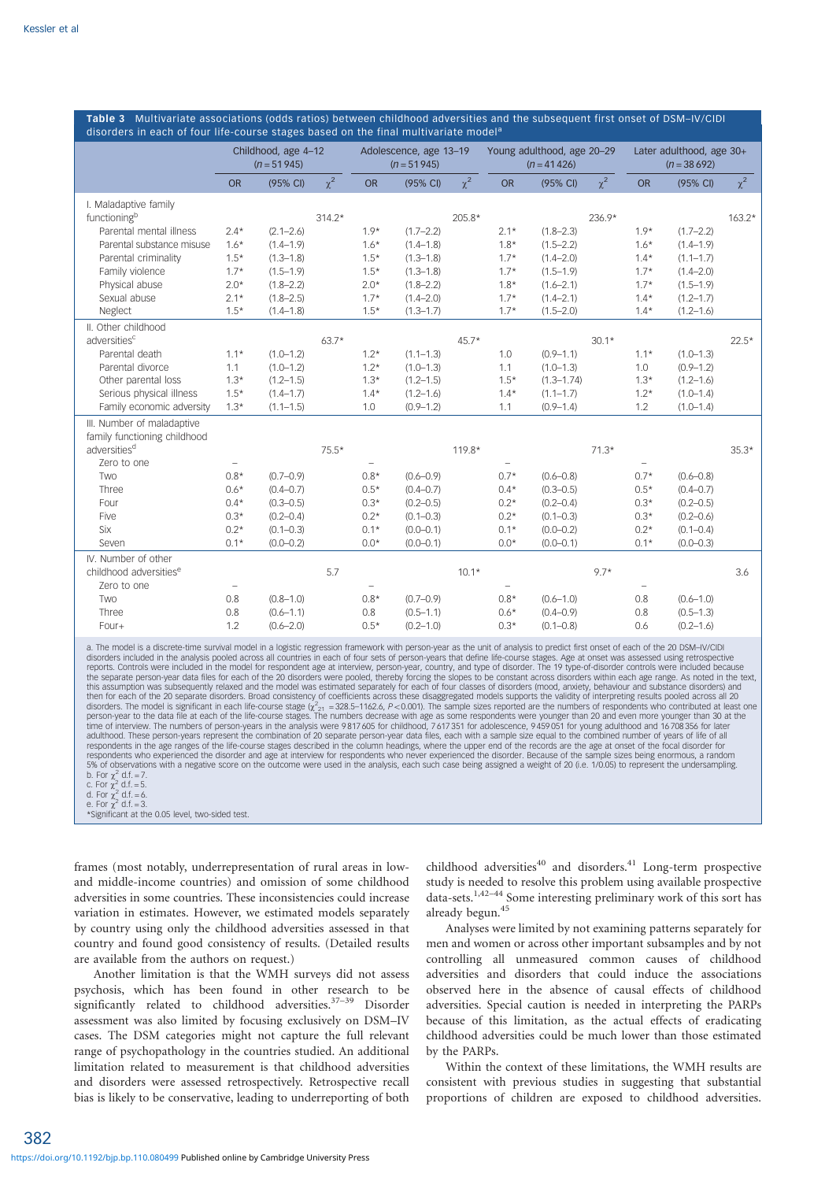| disorders in each of four life-course stages based on the final multivariate model <sup>a</sup> |                                      |               |          |                                         |               |          |                                              |                |          |                                           |               |          |
|-------------------------------------------------------------------------------------------------|--------------------------------------|---------------|----------|-----------------------------------------|---------------|----------|----------------------------------------------|----------------|----------|-------------------------------------------|---------------|----------|
|                                                                                                 | Childhood, age 4-12<br>$(n = 51945)$ |               |          | Adolescence, age 13-19<br>$(n = 51945)$ |               |          | Young adulthood, age 20-29<br>$(n = 41 426)$ |                |          | Later adulthood, age 30+<br>$(n = 38692)$ |               |          |
|                                                                                                 | <b>OR</b>                            | (95% CI)      | $\chi^2$ | <b>OR</b>                               | (95% CI)      | $\chi^2$ | <b>OR</b>                                    | (95% CI)       | $\chi^2$ | <b>OR</b>                                 | (95% CI)      | $\chi^2$ |
| I. Maladaptive family                                                                           |                                      |               |          |                                         |               |          |                                              |                |          |                                           |               |          |
| functioningb                                                                                    |                                      |               | $314.2*$ |                                         |               | 205.8*   |                                              |                | 236.9*   |                                           |               | $163.2*$ |
| Parental mental illness                                                                         | $2.4*$                               | $(2.1 - 2.6)$ |          | $1.9*$                                  | $(1.7 - 2.2)$ |          | $2.1*$                                       | $(1.8 - 2.3)$  |          | $1.9*$                                    | $(1.7 - 2.2)$ |          |
| Parental substance misuse                                                                       | $1.6*$                               | $(1.4 - 1.9)$ |          | $1.6*$                                  | $(1.4 - 1.8)$ |          | $1.8*$                                       | $(1.5 - 2.2)$  |          | $1.6*$                                    | $(1.4 - 1.9)$ |          |
| Parental criminality                                                                            | $1.5*$                               | $(1.3 - 1.8)$ |          | $1.5*$                                  | $(1.3 - 1.8)$ |          | $1.7*$                                       | $(1.4 - 2.0)$  |          | $1.4*$                                    | $(1.1 - 1.7)$ |          |
| Family violence                                                                                 | $1.7*$                               | $(1.5 - 1.9)$ |          | $1.5*$                                  | $(1.3 - 1.8)$ |          | $1.7*$                                       | $(1.5 - 1.9)$  |          | $1.7*$                                    | $(1.4 - 2.0)$ |          |
| Physical abuse                                                                                  | $2.0*$                               | $(1.8 - 2.2)$ |          | $2.0*$                                  | $(1.8 - 2.2)$ |          | $1.8*$                                       | $(1.6 - 2.1)$  |          | $1.7*$                                    | $(1.5 - 1.9)$ |          |
| Sexual abuse                                                                                    | $2.1*$                               | $(1.8 - 2.5)$ |          | $1.7*$                                  | $(1.4 - 2.0)$ |          | $1.7*$                                       | $(1.4 - 2.1)$  |          | $1.4*$                                    | $(1.2 - 1.7)$ |          |
| Neglect                                                                                         | $1.5*$                               | $(1.4 - 1.8)$ |          | $1.5*$                                  | $(1.3 - 1.7)$ |          | $1.7*$                                       | $(1.5 - 2.0)$  |          | $1.4*$                                    | $(1.2 - 1.6)$ |          |
| II. Other childhood                                                                             |                                      |               |          |                                         |               |          |                                              |                |          |                                           |               |          |
| adversities <sup>c</sup>                                                                        |                                      |               | $63.7*$  |                                         |               | $45.7*$  |                                              |                | $30.1*$  |                                           |               | $22.5*$  |
| Parental death                                                                                  | $1.1*$                               | $(1.0 - 1.2)$ |          | $1.2*$                                  | $(1.1 - 1.3)$ |          | 1.0                                          | $(0.9 - 1.1)$  |          | $1.1*$                                    | $(1.0 - 1.3)$ |          |
| Parental divorce                                                                                | 1.1                                  | $(1.0 - 1.2)$ |          | $1.2*$                                  | $(1.0 - 1.3)$ |          | 1.1                                          | $(1.0 - 1.3)$  |          | 1.0                                       | $(0.9 - 1.2)$ |          |
| Other parental loss                                                                             | $1.3*$                               | $(1.2 - 1.5)$ |          | $1.3*$                                  | $(1.2 - 1.5)$ |          | $1.5*$                                       | $(1.3 - 1.74)$ |          | $1.3*$                                    | $(1.2 - 1.6)$ |          |
| Serious physical illness                                                                        | $1.5*$                               | $(1.4 - 1.7)$ |          | $1.4*$                                  | $(1.2 - 1.6)$ |          | $1.4*$                                       | $(1.1 - 1.7)$  |          | $1.2*$                                    | $(1.0 - 1.4)$ |          |
| Family economic adversity                                                                       | $1.3*$                               | $(1.1 - 1.5)$ |          | 1.0                                     | $(0.9 - 1.2)$ |          | 1.1                                          | $(0.9 - 1.4)$  |          | 1.2                                       | $(1.0 - 1.4)$ |          |
| III. Number of maladaptive                                                                      |                                      |               |          |                                         |               |          |                                              |                |          |                                           |               |          |
| family functioning childhood                                                                    |                                      |               |          |                                         |               |          |                                              |                |          |                                           |               |          |
| adversities <sup>d</sup>                                                                        |                                      |               | $75.5*$  |                                         |               | 119.8*   |                                              |                | $71.3*$  |                                           |               | $35.3*$  |
| Zero to one                                                                                     | -                                    |               |          |                                         |               |          |                                              |                |          |                                           |               |          |
| Two                                                                                             | $0.8*$                               | $(0.7 - 0.9)$ |          | $0.8*$                                  | $(0.6 - 0.9)$ |          | $0.7*$                                       | $(0.6 - 0.8)$  |          | $0.7*$                                    | $(0.6 - 0.8)$ |          |
| Three                                                                                           | $0.6*$                               | $(0.4 - 0.7)$ |          | $0.5*$                                  | $(0.4 - 0.7)$ |          | $0.4*$                                       | $(0.3 - 0.5)$  |          | $0.5*$                                    | $(0.4 - 0.7)$ |          |
| Four                                                                                            | $0.4*$                               | $(0.3 - 0.5)$ |          | $0.3*$                                  | $(0.2 - 0.5)$ |          | $0.2*$                                       | $(0.2 - 0.4)$  |          | $0.3*$                                    | $(0.2 - 0.5)$ |          |
| Five                                                                                            | $0.3*$                               | $(0.2 - 0.4)$ |          | $0.2*$                                  | $(0.1 - 0.3)$ |          | $0.2*$                                       | $(0.1 - 0.3)$  |          | $0.3*$                                    | $(0.2 - 0.6)$ |          |
| Six                                                                                             | $0.2*$                               | $(0.1 - 0.3)$ |          | $0.1*$                                  | $(0.0 - 0.1)$ |          | $0.1*$                                       | $(0.0 - 0.2)$  |          | $0.2*$                                    | $(0.1 - 0.4)$ |          |
| Seven                                                                                           | $0.1*$                               | $(0.0 - 0.2)$ |          | $0.0*$                                  | $(0.0 - 0.1)$ |          | $0.0*$                                       | $(0.0 - 0.1)$  |          | $0.1*$                                    | $(0.0 - 0.3)$ |          |
| IV. Number of other                                                                             |                                      |               |          |                                         |               |          |                                              |                |          |                                           |               |          |
| childhood adversities <sup>e</sup>                                                              |                                      |               | 5.7      |                                         |               | $10.1*$  |                                              |                | $9.7*$   |                                           |               | 3.6      |
| Zero to one                                                                                     | $\qquad \qquad \longleftarrow$       |               |          |                                         |               |          |                                              |                |          |                                           |               |          |
| Two                                                                                             | 0.8                                  | $(0.8 - 1.0)$ |          | $0.8*$                                  | $(0.7 - 0.9)$ |          | $0.8*$                                       | $(0.6 - 1.0)$  |          | 0.8                                       | $(0.6 - 1.0)$ |          |
| Three                                                                                           | 0.8                                  | $(0.6 - 1.1)$ |          | 0.8                                     | $(0.5 - 1.1)$ |          | $0.6*$                                       | $(0.4 - 0.9)$  |          | 0.8                                       | $(0.5 - 1.3)$ |          |
| Four+                                                                                           | 1.2                                  | $(0.6 - 2.0)$ |          | $0.5*$                                  | $(0.2 - 1.0)$ |          | $0.3*$                                       | $(0.1 - 0.8)$  |          | 0.6                                       | $(0.2 - 1.6)$ |          |

Table 3 Multivariate associations (odds ratios) between childhood adversities and the subsequent first onset of DSM–IV/CIDI

a. The model is a discrete-time survival model in a logistic regression framework with person-year as the unit of analysis to predict first onset of each of the 20 DSM–IV/CIDI<br>disorders included in the analysis pooled acro reports. Controls were included in the model for respondent age at interview, person-year, country, and type of disorder. The 19 type-of-disorder controls were included because<br>the separate person-year data files for each this assumption was subsequently relaxed and the model was estimated separately for each of four classes of disorders (mood, anxiety, behaviour and substance disorders) and<br>then for each of the 20 separate disorders. Broad disorders. The model is significant in each life-course stage  $\langle \chi^2_{21} = 328.5 - 1162.6, P < 0.001$ ). The sample sizes reported are the numbers of respondents who contributed at least one<br>person-year to the data file at ea adulthood. These person-years represent the combination of 20 separate person-year data files, each with a sample size equal to the combined number of years of life of all respondents in the age ranges of the life-course stages described in the column headings, where the upper end of the records are the age at onset of the focal disorder for<br>respondents who experienced the disorder and age a 5% of observations with a negative score on the outcome were used in the analysis, each such case being assigned a weight of 20 (i.e. 1/0.05) to represent the undersampling. b. For  $\chi^2$  d.f. = 7.<br>c. For  $\chi^2$  d.f. = 5.

382

frames (most notably, underrepresentation of rural areas in lowand middle-income countries) and omission of some childhood adversities in some countries. These inconsistencies could increase variation in estimates. However, we estimated models separately by country using only the childhood adversities assessed in that country and found good consistency of results. (Detailed results are available from the authors on request.)

Another limitation is that the WMH surveys did not assess psychosis, which has been found in other research to be significantly related to childhood adversities.<sup>37-39</sup> Disorder assessment was also limited by focusing exclusively on DSM–IV cases. The DSM categories might not capture the full relevant range of psychopathology in the countries studied. An additional limitation related to measurement is that childhood adversities and disorders were assessed retrospectively. Retrospective recall bias is likely to be conservative, leading to underreporting of both

childhood adversities<sup>40</sup> and disorders.<sup>41</sup> Long-term prospective study is needed to resolve this problem using available prospective data-sets.1,42–44 Some interesting preliminary work of this sort has already begun.<sup>45</sup>

Analyses were limited by not examining patterns separately for men and women or across other important subsamples and by not controlling all unmeasured common causes of childhood adversities and disorders that could induce the associations observed here in the absence of causal effects of childhood adversities. Special caution is needed in interpreting the PARPs because of this limitation, as the actual effects of eradicating childhood adversities could be much lower than those estimated by the PARPs.

Within the context of these limitations, the WMH results are consistent with previous studies in suggesting that substantial proportions of children are exposed to childhood adversities.

d. For  $\chi^2$  d.f. = 6.<br>e. For  $\chi^2$  d.f. = 3.<br>\*Significant at the 0.05 level, two-sided test.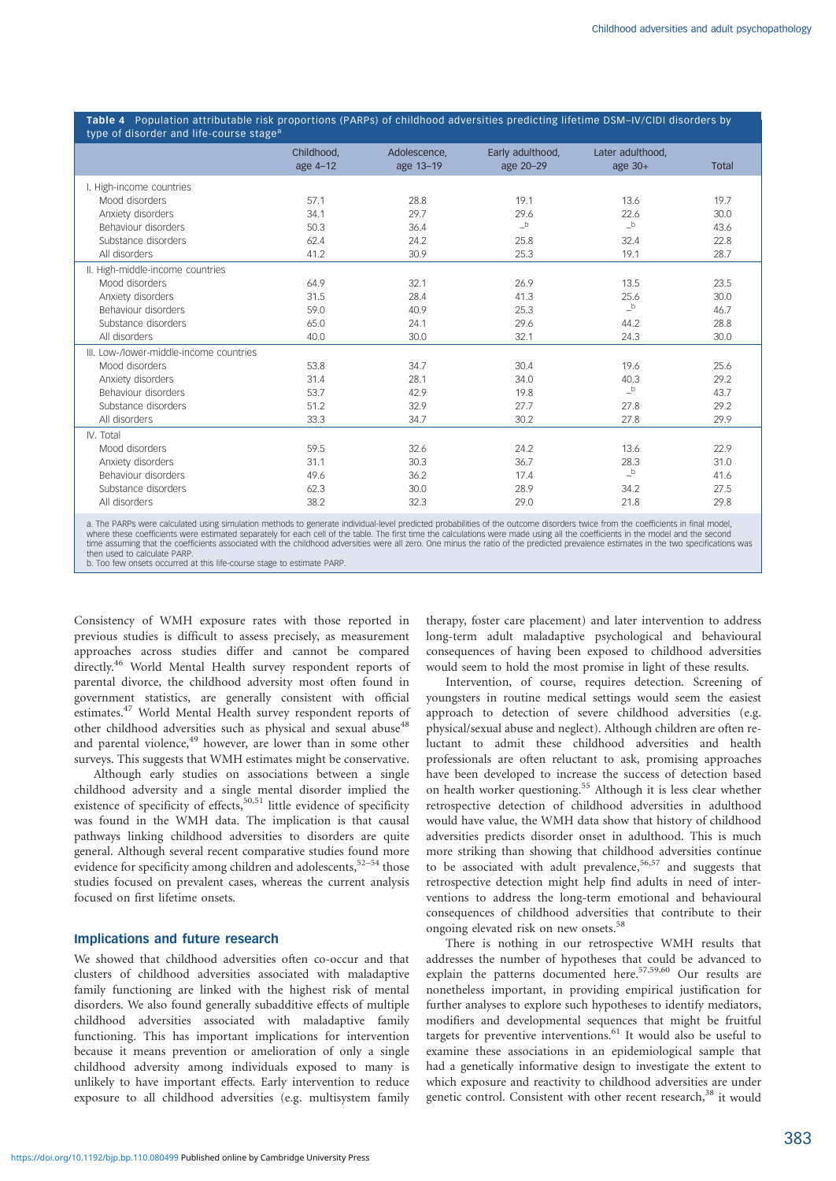Table 4 Population attributable risk proportions (PARPs) of childhood adversities predicting lifetime DSM-IV/CIDI disorders by type of disorder and life-course stage<sup>®</sup>

|                                         | Childhood,<br>age 4-12 | Adolescence,<br>age 13-19 | Early adulthood,<br>age 20-29           | Later adulthood,<br>age $30+$          | Total |
|-----------------------------------------|------------------------|---------------------------|-----------------------------------------|----------------------------------------|-------|
| I. High-income countries                |                        |                           |                                         |                                        |       |
| Mood disorders                          | 57.1                   | 28.8                      | 19.1                                    | 13.6                                   | 19.7  |
| Anxiety disorders                       | 34.1                   | 29.7                      | 29.6                                    | 22.6                                   | 30.0  |
| <b>Behaviour disorders</b>              | 50.3                   | 36.4                      | $\overline{\phantom{a}}^{\,\mathrm{b}}$ | $\overline{\phantom{0}}^{\phantom{0}}$ | 43.6  |
| Substance disorders                     | 62.4                   | 24.2                      | 25.8                                    | 32.4                                   | 22.8  |
| All disorders                           | 41.2                   | 30.9                      | 25.3                                    | 19.1                                   | 28.7  |
|                                         |                        |                           |                                         |                                        |       |
| II. High-middle-income countries        |                        |                           |                                         |                                        |       |
| Mood disorders                          | 64.9                   | 32.1                      | 26.9                                    | 13.5                                   | 23.5  |
| Anxiety disorders                       | 31.5                   | 28.4                      | 41.3                                    | 25.6                                   | 30.0  |
| <b>Behaviour disorders</b>              | 59.0                   | 40.9                      | 25.3                                    | $-^{\mathsf{b}}$                       | 46.7  |
| Substance disorders                     | 65.0                   | 24.1                      | 29.6                                    | 44.2                                   | 28.8  |
| All disorders                           | 40.0                   | 30.0                      | 32.1                                    | 24.3                                   | 30.0  |
| III. Low-/lower-middle-income countries |                        |                           |                                         |                                        |       |
| Mood disorders                          | 53.8                   | 34.7                      | 30.4                                    | 19.6                                   | 25.6  |
| Anxiety disorders                       | 31.4                   | 28.1                      | 34.0                                    | 40.3                                   | 29.2  |
| Behaviour disorders                     | 53.7                   | 42.9                      | 19.8                                    | $\overline{\phantom{0}}^{\phantom{0}}$ | 43.7  |
| Substance disorders                     | 51.2                   | 32.9                      | 27.7                                    | 27.8                                   | 29.2  |
| All disorders                           | 33.3                   | 34.7                      | 30.2                                    | 27.8                                   | 29.9  |
| IV. Total                               |                        |                           |                                         |                                        |       |
| Mood disorders                          | 59.5                   | 32.6                      | 24.2                                    | 13.6                                   | 22.9  |
| Anxiety disorders                       | 31.1                   | 30.3                      | 36.7                                    | 28.3                                   | 31.0  |
| Behaviour disorders                     | 49.6                   | 36.2                      | 17.4                                    | $\_b$                                  | 41.6  |
| Substance disorders                     | 62.3                   | 30.0                      | 28.9                                    | 34.2                                   | 27.5  |
| All disorders                           | 38.2                   | 32.3                      | 29.0                                    | 21.8                                   | 29.8  |

a. The PARPs were calculated using simulation methods to generate individual-level predicted probabilities of the outcome disorders twice from the coefficients in final model,<br>where these coefficients were estimated separa then used to calculate PARP.

b. Too few onsets occurred at this life-course stage to estimate PARP.

Consistency of WMH exposure rates with those reported in previous studies is difficult to assess precisely, as measurement approaches across studies differ and cannot be compared directly.46 World Mental Health survey respondent reports of parental divorce, the childhood adversity most often found in government statistics, are generally consistent with official estimates.<sup>47</sup> World Mental Health survey respondent reports of other childhood adversities such as physical and sexual abuse<sup>48</sup> and parental violence, $49$  however, are lower than in some other surveys. This suggests that WMH estimates might be conservative.

Although early studies on associations between a single childhood adversity and a single mental disorder implied the existence of specificity of effects,<sup>50,51</sup> little evidence of specificity was found in the WMH data. The implication is that causal pathways linking childhood adversities to disorders are quite general. Although several recent comparative studies found more evidence for specificity among children and adolescents,<sup>52-54</sup> those studies focused on prevalent cases, whereas the current analysis focused on first lifetime onsets.

## Implications and future research

We showed that childhood adversities often co-occur and that clusters of childhood adversities associated with maladaptive family functioning are linked with the highest risk of mental disorders. We also found generally subadditive effects of multiple childhood adversities associated with maladaptive family functioning. This has important implications for intervention because it means prevention or amelioration of only a single childhood adversity among individuals exposed to many is unlikely to have important effects. Early intervention to reduce exposure to all childhood adversities (e.g. multisystem family

therapy, foster care placement) and later intervention to address long-term adult maladaptive psychological and behavioural consequences of having been exposed to childhood adversities would seem to hold the most promise in light of these results.

Intervention, of course, requires detection. Screening of youngsters in routine medical settings would seem the easiest approach to detection of severe childhood adversities (e.g. physical/sexual abuse and neglect). Although children are often reluctant to admit these childhood adversities and health professionals are often reluctant to ask, promising approaches have been developed to increase the success of detection based on health worker questioning.<sup>55</sup> Although it is less clear whether retrospective detection of childhood adversities in adulthood would have value, the WMH data show that history of childhood adversities predicts disorder onset in adulthood. This is much more striking than showing that childhood adversities continue to be associated with adult prevalence,<sup>56,57</sup> and suggests that retrospective detection might help find adults in need of interventions to address the long-term emotional and behavioural consequences of childhood adversities that contribute to their ongoing elevated risk on new onsets.<sup>58</sup>

There is nothing in our retrospective WMH results that addresses the number of hypotheses that could be advanced to explain the patterns documented here.<sup>57,59,60</sup> Our results are nonetheless important, in providing empirical justification for further analyses to explore such hypotheses to identify mediators, modifiers and developmental sequences that might be fruitful targets for preventive interventions. $61$  It would also be useful to examine these associations in an epidemiological sample that had a genetically informative design to investigate the extent to which exposure and reactivity to childhood adversities are under genetic control. Consistent with other recent research,<sup>38</sup> it would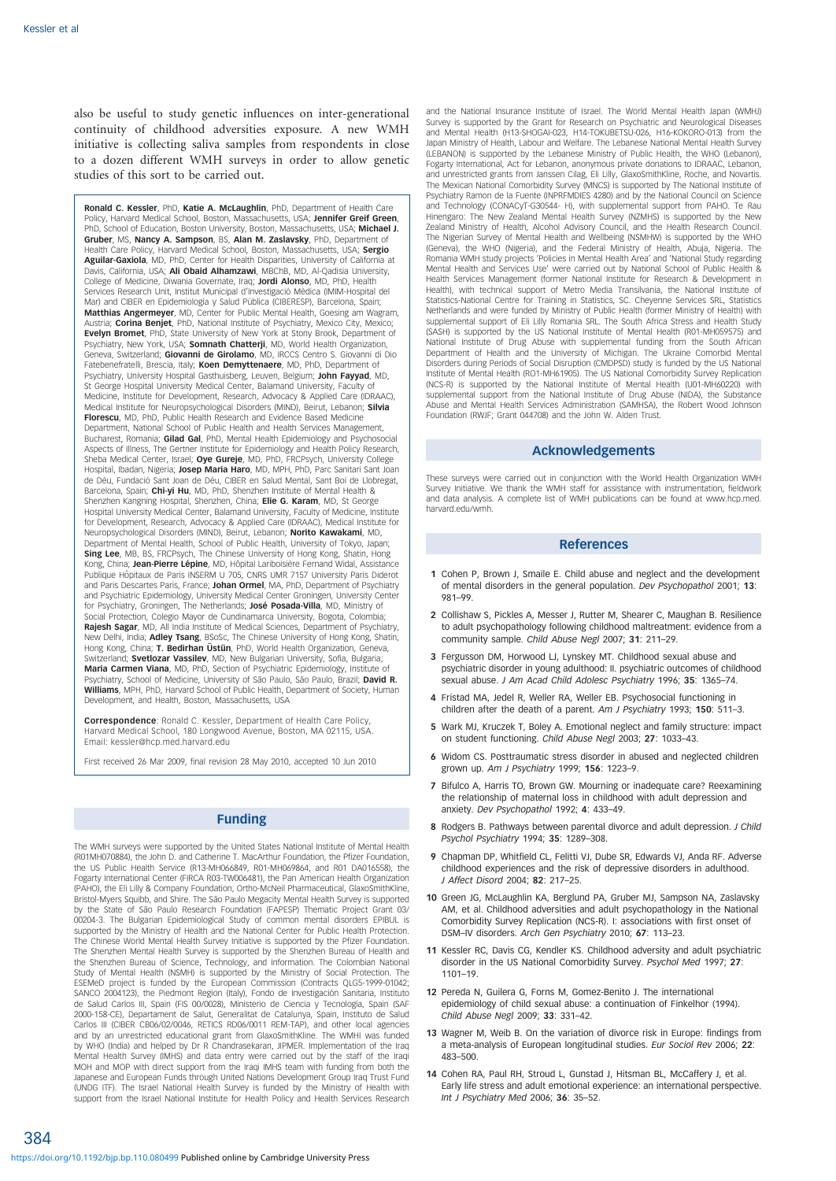also be useful to study genetic influences on inter-generational continuity of childhood adversities exposure. A new WMH initiative is collecting saliva samples from respondents in close to a dozen different WMH surveys in order to allow genetic studies of this sort to be carried out.

Ronald C. Kessler, PhD, Katie A. McLaughlin, PhD, Department of Health Care Policy, Harvard Medical School, Boston, Massachusetts, USA; **Jennifer Greif Green**,<br>PhD, School of Education, Boston University, Boston, Massachusetts, USA; **Michael J**. Gruber, MS, Nancy A. Sampson, BS, Alan M. Zaslavsky, PhD, Department of Health Care Policy, Harvard Medical School, Boston, Massachusetts, USA; **Sergio**<br>**Aguilar-Gaxiola**, MD, PhD, Center for Health Disparities, University of California at Davis, California, USA; Ali Obaid Alhamzawi, MBChB, MD, Al-Qadisia University, College of Medicine, Diwania Governate, Iraq; **Jordi Alonso**, MD, PhD, Health<br>Services Research Unit, Institut Municipal d'Investigació Mèdica (IMIM-Hospital del Mar) and CIBER en Epidemiología y Salud Pública (CIBERESP), Barcelona, Spain;<br>**Matthias Angermeyer**, MD, Center for Public Mental Health, Goesing am Wagram, Austria; **Corina Benjet**, PhD, National Institute of Psychiatry, Mexico City, Mexico; **Evelyn Bromet**, PhD, State University of New York at Stony Brook, Department of<br>Psychiatry, New York, USA; **Somnath Chatterji**, MD, World Health Organization, Geneva, Switzerland; Giovanni de Girolamo, MD, IRCCS Centro S. Giovanni di Dio Fatebenefratelli, Brescia, Italy; Koen Demyttenaere, MD, PhD, Department of Psychiatry, University Hospital Gasthuisberg, Leuven, Belgium; **John Fayyad**, MD,<br>St George Hospital University Medical Center, Balamand University, Faculty of Medicine, Institute for Development, Research, Advocacy & Applied Care (IDRAAC),<br>Medical Institute for Neuropsychological Disorders (MIND), Beirut, Lebanon; **Silvia** Florescu, MD, PhD, Public Health Research and Evidence Based Medicine Department, National School of Public Health and Health Services Management, Bucharest, Romania; **Gilad Gal**, PhD, Mental Health Epidemiology and Psychosocial Aspects of Illness, The Gertner Institute for Epidemiology and Health Policy Research, Sheba Medical Center, Israel; **Oye Gureje**, MD, PhD, FRCPsych, University College<br>Hospital, Ibadan, Nigeria; **Josep Maria Haro**, MD, MPH, PhD, Parc Sanitari Sant Joan de Déu, Fundació Sant Joan de Déu, CIBER en Salud Mental, Sant Boi de Llobregat, Barcelona, Spain; Chi-yi Hu, MD, PhD, Shenzhen Institute of Mental Health & Shenzhen Kangning Hospital, Shenzhen, China; Elie G. Karam, MD, St George Hospital University Medical Center, Balamand University, Faculty of Medicine, Institute for Development, Research, Advocacy & Applied Care (IDRAAC), Medical Institute for Neuropsychological Disorders (MIND), Beirut, Lebanon; Norito Kawakami, MD, Department of Mental Health, School of Public Health, University of Tokyo, Japan; Sing Lee, MB, BS, FRCPsych, The Chinese University of Hong Kong, Shatin, Hong Kong, China; Jean-Pierre Lépine, MD, Hônital Lariboisière Fernand Widal, Assistance Publique Hôpitaux de Paris INSERM U 705, CNRS UMR 7157 University Paris Diderot and Paris Descartes Paris, France; Johan Ormel, MA, PhD, Department of Psychiatry and Psychiatric Epidemiology, University Medical Center Groningen, University Center<br>for Psychiatry, Groningen, The Netherlands; **José Posada-Villa**, MD, Ministry of Social Protection, Colegio Mayor de Cundinamarca University, Bogota, Colombia;<br>**Rajesh Sagar**, MD, All India Institute of Medical Sciences, Department of Psychiatry, New Delhi, India; Adley Tsang, BSoSc, The Chinese University of Hong Kong, Shatin, Hong Kong, China; **T. Bedirhan Üstün**, PhD, World Health Organization, Geneva,<br>Switzerland; **Svetlozar Vassilev**, MD, New Bulgarian University, Sofia, Bulgaria; Maria Carmen Viana, MD, PhD, Section of Psychiatric Epidemiology, Institute of Psychiatry, School of Medicine, University of São Paulo, São Paulo, Brazil; **David R.**<br>**Williams**, MPH, PhD, Harvard School of Public Health, Department of Society, Human evelopment, and Health, Boston, Massachusetts, USA

Correspondence: Ronald C. Kessler, Department of Health Care Policy, Harvard Medical School, 180 Longwood Avenue, Boston, MA 02115, USA. Email: kessler@hcp.med.harvard.edu

First received 26 Mar 2009, final revision 28 May 2010, accepted 10 Jun 2010

## Funding

The WMH surveys were supported by the United States National Institute of Mental Health (R01MH070884), the John D. and Catherine T. MacArthur Foundation, the Pfizer Foundation, the US Public Health Service (R13-MH066849, R01-MH069864, and R01 DA016558), the Fogarty International Center (FIRCA R03-TW006481), the Pan American Health Organization (PAHO), the Eli Lilly & Company Foundation, Ortho-McNeil Pharmaceutical, GlaxoSmithKline, Bristol-Myers Squibb, and Shire. The São Paulo Megacity Mental Health Survey is supported<br>by the State of São Paulo Research Foundation (FAPESP) Thematic Project Grant 03/ 00204-3. The Bulgarian Epidemiological Study of common mental disorders EPIBUL is<br>supported by the Ministry of Health and the National Center for Public Health Protection.<br>The Chinese World Mental Health Survey Initiative The Shenzhen Mental Health Survey is supported by the Shenzhen Bureau of Health and the Shenzhen Bureau of Science, Technology, and Information. The Colombian National Study of Mental Health (NSMH) is supported by the Ministry of Social Protection. The ESEMeD project is funded by the European Commission (Contracts QLG5-1999-01042; SANCO 2004123), the Piedmont Region (Italy), Fondo de Investigación Sanitaria, Instituto<br>de Salud Carlos III, Spain (FIS 00/0028), Ministerio de Ciencia y Tecnología, Spain (SAF 2000-158-CE), Departament de Salut, Generalitat de Catalunya, Spain, Instituto de Salud Carlos III (CIBER CB06/02/0046, RETICS RD06/0011 REM-TAP), and other local agencies and by an unrestricted educational grant from GlaxoSmithKline. The WMHI was funded by WHO (India) and helped by Dr R Chandrasekaran, JIPMER. Implementation of the Iraq Mental Health Survey (IMHS) and data entry were carried out by the staff of the Iraqi MOH and MOP with direct support from the Iraqi IMHS team with funding from both the Japanese and European Funds through United Nations Development Group Iraq Trust Fund<br>(UNDG ITF). The Israel National Health Survey is funded by the Ministry of Health with<br>support from the Israel National Institute for Hea

and the National Insurance Institute of Israel. The World Mental Health Japan (WMHJ) Survey is supported by the Grant for Research on Psychiatric and Neurological Diseases and Mental Health (H13-SHOGAI-023, H14-TOKUBETSU-026, H16-KOKORO-013) from the Japan Ministry of Health, Labour and Welfare. The Lebanese National Mental Health Survey (LEBANON) is supported by the Lebanese Ministry of Public Health, the WHO (Lebanon), Fogarty International, Act for Lebanon, anonymous private donations to IDRAAC, Lebanon, and unrestricted grants from Janssen Cilag, Eli Lilly, GlaxoSmithKline, Roche, and Novartis. The Mexican National Comorbidity Survey (MNCS) is supported by The National Institute of Psychiatry Ramon de la Fuente (INPRFMDIES 4280) and by the National Council on Science and Technology (CONACyT-G30544- H), with supplemental support from PAHO. Te Rau Hinengaro: The New Zealand Mental Health Survey (NZMHS) is supported by the New Zealand Ministry of Health, Alcohol Advisory Council, and the Health Research Council. The Nigerian Survey of Mental Health and Wellbeing (NSMHW) is supported by the WHO (Geneva), the WHO (Nigeria), and the Federal Ministry of Health, Abuja, Nigeria. The Romania WMH study projects 'Policies in Mental Health Area' and 'National Study regarding Mental Health and Services Use' were carried out by National School of Public Health & Health Services Management (former National Institute for Research & Development in Health), with technical support of Metro Media Transilvania, the National Institute of Statistics-National Centre for Training in Statistics, SC. Cheyenne Services SRL, Statistics Netherlands and were funded by Ministry of Public Health (former Ministry of Health) with supplemental support of Eli Lilly Romania SRL. The South Africa Stress and Health Study (SASH) is supported by the US National Institute of Mental Health (R01-MH059575) and National Institute of Drug Abuse with supplemental funding from the South African<br>Department of Health and the University of Michigan. The Ukraine Comorbid Mental<br>Disorders during Periods of Social Disruption (CMDPSD) stud Institute of Mental Health (RO1-MH61905). The US National Comorbidity Survey Replication (NCS-R) is supported by the National Institute of Mental Health (U01-MH60220) with supplemental support from the National Institute of Drug Abuse (NIDA), the Substance Abuse and Mental Health Services Administration (SAMHSA), the Robert Wood Johnson Foundation (RWJF; Grant 044708) and the John W. Alden Trust.

# Acknowledgements

These surveys were carried out in conjunction with the World Health Organization WMH Survey Initiative. We thank the WMH staff for assistance with instrumentation, fieldwork and data analysis. A complete list of WMH publications can be found at www.hcp.med. harvard.edu/wmh.

# References

- 1 Cohen P, Brown J, Smaile E. Child abuse and neglect and the development of mental disorders in the general population. Dev Psychopathol 2001; 13: 981–99.
- 2 Collishaw S, Pickles A, Messer J, Rutter M, Shearer C, Maughan B. Resilience to adult psychopathology following childhood maltreatment: evidence from a community sample. Child Abuse Negl 2007; 31: 211–29.
- 3 Fergusson DM, Horwood LJ, Lynskey MT. Childhood sexual abuse and psychiatric disorder in young adulthood: II. psychiatric outcomes of childhood sexual abuse. J Am Acad Child Adolesc Psychiatry 1996; 35: 1365–74.
- 4 Fristad MA, Jedel R, Weller RA, Weller EB. Psychosocial functioning in children after the death of a parent. Am J Psychiatry 1993: **150**: 511–3.
- 5 Wark MJ, Kruczek T, Boley A. Emotional neglect and family structure: impact on student functioning. Child Abuse Negl 2003; 27: 1033–43.
- 6 Widom CS. Posttraumatic stress disorder in abused and neglected children grown up. Am J Psychiatry 1999; 156: 1223–9.
- 7 Bifulco A, Harris TO, Brown GW. Mourning or inadequate care? Reexamining the relationship of maternal loss in childhood with adult depression and anxiety. Dev Psychopathol 1992; 4: 433–49.
- 8 Rodgers B. Pathways between parental divorce and adult depression. J Child Psychol Psychiatry 1994; 35: 1289–308.
- 9 Chapman DP, Whitfield CL, Felitti VJ, Dube SR, Edwards VJ, Anda RF. Adverse childhood experiences and the risk of depressive disorders in adulthood. J Affect Disord 2004; 82: 217–25.
- 10 Green JG, McLaughlin KA, Berglund PA, Gruber MJ, Sampson NA, Zaslavsky AM, et al. Childhood adversities and adult psychopathology in the National Comorbidity Survey Replication (NCS-R). I: associations with first onset of DSM–IV disorders. Arch Gen Psychiatry 2010; 67: 113–23.
- 11 Kessler RC, Davis CG, Kendler KS. Childhood adversity and adult psychiatric disorder in the US National Comorbidity Survey. Psychol Med 1997; 27: 1101–19.
- 12 Pereda N, Guilera G, Forns M, Gomez-Benito J. The international epidemiology of child sexual abuse: a continuation of Finkelhor (1994). Child Abuse Negl 2009; 33: 331–42.
- 13 Wagner M, Weib B. On the variation of divorce risk in Europe: findings from a meta-analysis of European longitudinal studies. Eur Sociol Rev 2006; 22: 483–500.
- 14 Cohen RA, Paul RH, Stroud L, Gunstad J, Hitsman BL, McCaffery J, et al. Early life stress and adult emotional experience: an international perspective. Int J Psychiatry Med 2006; 36: 35–52.

384